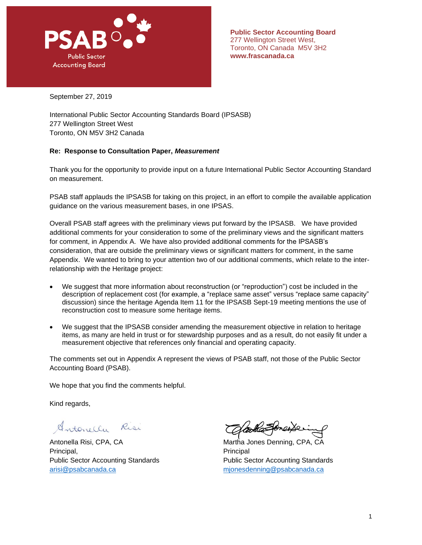

September 27, 2019

International Public Sector Accounting Standards Board (IPSASB) 277 Wellington Street West Toronto, ON M5V 3H2 Canada

## **Re: Response to Consultation Paper,** *Measurement*

Thank you for the opportunity to provide input on a future International Public Sector Accounting Standard on measurement.

PSAB staff applauds the IPSASB for taking on this project, in an effort to compile the available application guidance on the various measurement bases, in one IPSAS.

Overall PSAB staff agrees with the preliminary views put forward by the IPSASB. We have provided additional comments for your consideration to some of the preliminary views and the significant matters for comment, in Appendix A. We have also provided additional comments for the IPSASB's consideration, that are outside the preliminary views or significant matters for comment, in the same Appendix. We wanted to bring to your attention two of our additional comments, which relate to the interrelationship with the Heritage project:

- We suggest that more information about reconstruction (or "reproduction") cost be included in the description of replacement cost (for example, a "replace same asset" versus "replace same capacity" discussion) since the heritage Agenda Item 11 for the IPSASB Sept-19 meeting mentions the use of reconstruction cost to measure some heritage items.
- We suggest that the IPSASB consider amending the measurement objective in relation to heritage items, as many are held in trust or for stewardship purposes and as a result, do not easily fit under a measurement objective that references only financial and operating capacity.

The comments set out in Appendix A represent the views of PSAB staff, not those of the Public Sector Accounting Board (PSAB).

We hope that you find the comments helpful.

Kind regards,

Antonella Risi

Antonella Risi, CPA, CA **Martha Jones Denning, CPA, CA** Principal, **Principal**, **Principal** Public Sector Accounting Standards Public Sector Accounting Standards [arisi@psabcanada.ca](mailto:arisi@psabcanada.ca) [mjonesdenning@psabcanada.ca](mailto:mjonesdenning@psabcanada.ca)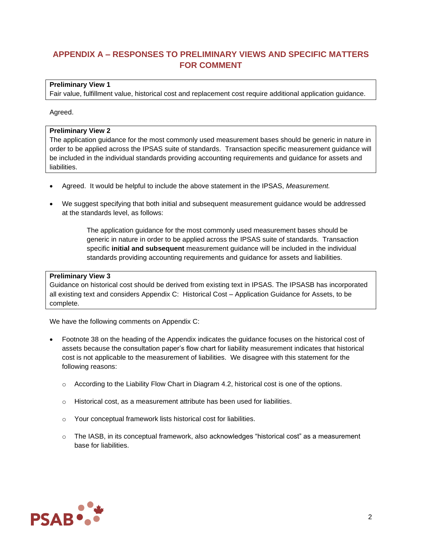# **APPENDIX A – RESPONSES TO PRELIMINARY VIEWS AND SPECIFIC MATTERS FOR COMMENT**

## **Preliminary View 1**

Fair value, fulfillment value, historical cost and replacement cost require additional application guidance.

## Agreed.

## **Preliminary View 2**

The application guidance for the most commonly used measurement bases should be generic in nature in order to be applied across the IPSAS suite of standards. Transaction specific measurement guidance will be included in the individual standards providing accounting requirements and guidance for assets and liabilities.

- Agreed. It would be helpful to include the above statement in the IPSAS, *Measurement.*
- We suggest specifying that both initial and subsequent measurement guidance would be addressed at the standards level, as follows:

The application guidance for the most commonly used measurement bases should be generic in nature in order to be applied across the IPSAS suite of standards. Transaction specific **initial and subsequent** measurement guidance will be included in the individual standards providing accounting requirements and guidance for assets and liabilities.

## **Preliminary View 3**

Guidance on historical cost should be derived from existing text in IPSAS. The IPSASB has incorporated all existing text and considers Appendix C: Historical Cost – Application Guidance for Assets, to be complete.

We have the following comments on Appendix C:

- Footnote 38 on the heading of the Appendix indicates the guidance focuses on the historical cost of assets because the consultation paper's flow chart for liability measurement indicates that historical cost is not applicable to the measurement of liabilities. We disagree with this statement for the following reasons:
	- $\circ$  According to the Liability Flow Chart in Diagram 4.2, historical cost is one of the options.
	- o Historical cost, as a measurement attribute has been used for liabilities.
	- o Your conceptual framework lists historical cost for liabilities.
	- $\circ$  The IASB, in its conceptual framework, also acknowledges "historical cost" as a measurement base for liabilities.

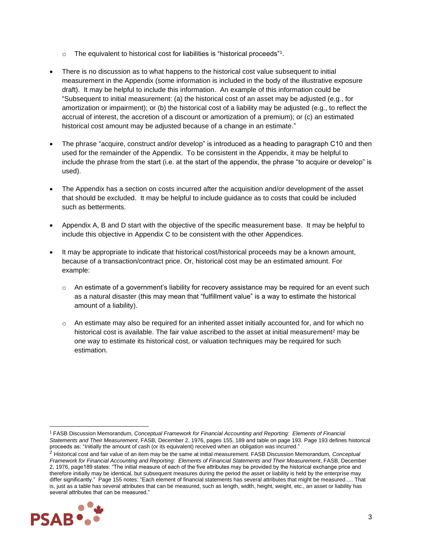- $\circ$  The equivalent to historical cost for liabilities is "historical proceeds"<sup>1</sup>.
- There is no discussion as to what happens to the historical cost value subsequent to initial measurement in the Appendix (some information is included in the body of the illustrative exposure draft). It may be helpful to include this information. An example of this information could be "Subsequent to initial measurement: (a) the historical cost of an asset may be adjusted (e.g., for amortization or impairment); or (b) the historical cost of a liability may be adjusted (e.g., to reflect the accrual of interest, the accretion of a discount or amortization of a premium); or (c) an estimated historical cost amount may be adjusted because of a change in an estimate."
- The phrase "acquire, construct and/or develop" is introduced as a heading to paragraph C10 and then used for the remainder of the Appendix. To be consistent in the Appendix, it may be helpful to include the phrase from the start (i.e. at the start of the appendix, the phrase "to acquire or develop" is used).
- The Appendix has a section on costs incurred after the acquisition and/or development of the asset that should be excluded. It may be helpful to include guidance as to costs that could be included such as betterments.
- Appendix A, B and D start with the objective of the specific measurement base. It may be helpful to include this objective in Appendix C to be consistent with the other Appendices.
- It may be appropriate to indicate that historical cost/historical proceeds may be a known amount, because of a transaction/contract price. Or, historical cost may be an estimated amount. For example:
	- $\circ$  An estimate of a government's liability for recovery assistance may be required for an event such as a natural disaster (this may mean that "fulfillment value" is a way to estimate the historical amount of a liability).
	- $\circ$  An estimate may also be required for an inherited asset initially accounted for, and for which no historical cost is available. The fair value ascribed to the asset at initial measurement<sup>2</sup> may be one way to estimate its historical cost, or valuation techniques may be required for such estimation.

<sup>2</sup> Historical cost and fair value of an item may be the same at initial measurement. FASB Discussion Memorandum, *Conceptual Framework for Financial Accounting and Reporting: Elements of Financial Statements and Their Measurement*, FASB, December 2, 1976, page189 states: "The initial measure of each of the five attributes may be provided by the historical exchange price and therefore initially may be identical, but subsequent measures during the period the asset or liability is held by the enterprise may differ significantly." Page 155 notes: "Each element of financial statements has several attributes that might be measured..... That is, just as a table has several attributes that can be measured, such as length, width, height, weight, etc., an asset or liability has several attributes that can be measured."



<sup>1</sup> FASB Discussion Memorandum, *Conceptual Framework for Financial Accounting and Reporting: Elements of Financial Statements and Their Measurement*, FASB, December 2, 1976, pages 155, 189 and table on page 193. Page 193 defines historical proceeds as: "Initially the amount of cash (or its equivalent) received when an obligation was incurred."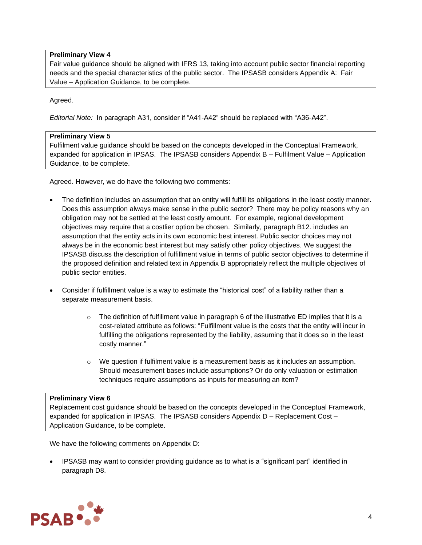# **Preliminary View 4**

Fair value guidance should be aligned with IFRS 13, taking into account public sector financial reporting needs and the special characteristics of the public sector. The IPSASB considers Appendix A: Fair Value – Application Guidance, to be complete.

## Agreed.

*Editorial Note:* In paragraph A31, consider if "A41-A42" should be replaced with "A36-A42".

## **Preliminary View 5**

Fulfilment value guidance should be based on the concepts developed in the Conceptual Framework, expanded for application in IPSAS. The IPSASB considers Appendix B – Fulfilment Value – Application Guidance, to be complete.

Agreed. However, we do have the following two comments:

- The definition includes an assumption that an entity will fulfill its obligations in the least costly manner. Does this assumption always make sense in the public sector? There may be policy reasons why an obligation may not be settled at the least costly amount. For example, regional development objectives may require that a costlier option be chosen. Similarly, paragraph B12. includes an assumption that the entity acts in its own economic best interest. Public sector choices may not always be in the economic best interest but may satisfy other policy objectives. We suggest the IPSASB discuss the description of fulfillment value in terms of public sector objectives to determine if the proposed definition and related text in Appendix B appropriately reflect the multiple objectives of public sector entities.
- Consider if fulfillment value is a way to estimate the "historical cost" of a liability rather than a separate measurement basis.
	- $\circ$  The definition of fulfillment value in paragraph 6 of the illustrative ED implies that it is a cost-related attribute as follows: "Fulfillment value is the costs that the entity will incur in fulfilling the obligations represented by the liability, assuming that it does so in the least costly manner."
	- $\circ$  We question if fulfilment value is a measurement basis as it includes an assumption. Should measurement bases include assumptions? Or do only valuation or estimation techniques require assumptions as inputs for measuring an item?

## **Preliminary View 6**

Replacement cost guidance should be based on the concepts developed in the Conceptual Framework, expanded for application in IPSAS. The IPSASB considers Appendix D – Replacement Cost – Application Guidance, to be complete.

We have the following comments on Appendix D:

• IPSASB may want to consider providing guidance as to what is a "significant part" identified in paragraph D8.

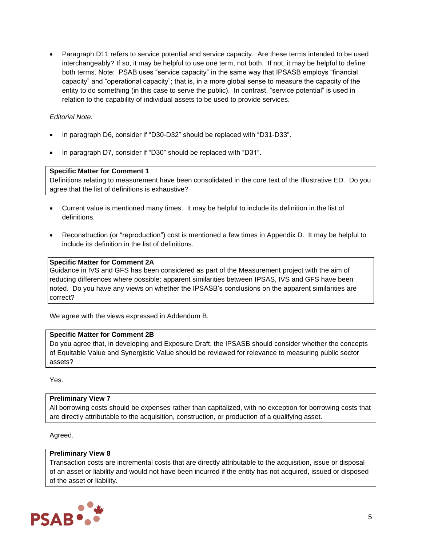• Paragraph D11 refers to service potential and service capacity. Are these terms intended to be used interchangeably? If so, it may be helpful to use one term, not both. If not, it may be helpful to define both terms. Note: PSAB uses "service capacity" in the same way that IPSASB employs "financial capacity" and "operational capacity"; that is, in a more global sense to measure the capacity of the entity to do something (in this case to serve the public). In contrast, "service potential" is used in relation to the capability of individual assets to be used to provide services.

## *Editorial Note:*

- In paragraph D6, consider if "D30-D32" should be replaced with "D31-D33".
- In paragraph D7, consider if "D30" should be replaced with "D31".

#### **Specific Matter for Comment 1**

Definitions relating to measurement have been consolidated in the core text of the Illustrative ED. Do you agree that the list of definitions is exhaustive?

- Current value is mentioned many times. It may be helpful to include its definition in the list of definitions.
- Reconstruction (or "reproduction") cost is mentioned a few times in Appendix D. It may be helpful to include its definition in the list of definitions.

## **Specific Matter for Comment 2A**

Guidance in IVS and GFS has been considered as part of the Measurement project with the aim of reducing differences where possible; apparent similarities between IPSAS, IVS and GFS have been noted. Do you have any views on whether the IPSASB's conclusions on the apparent similarities are correct?

We agree with the views expressed in Addendum B.

#### **Specific Matter for Comment 2B**

Do you agree that, in developing and Exposure Draft, the IPSASB should consider whether the concepts of Equitable Value and Synergistic Value should be reviewed for relevance to measuring public sector assets?

Yes.

#### **Preliminary View 7**

All borrowing costs should be expenses rather than capitalized, with no exception for borrowing costs that are directly attributable to the acquisition, construction, or production of a qualifying asset.

Agreed.

#### **Preliminary View 8**

Transaction costs are incremental costs that are directly attributable to the acquisition, issue or disposal of an asset or liability and would not have been incurred if the entity has not acquired, issued or disposed of the asset or liability.

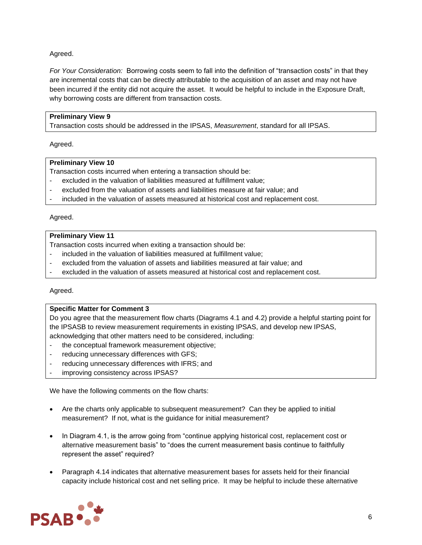Agreed.

*For Your Consideration:* Borrowing costs seem to fall into the definition of "transaction costs" in that they are incremental costs that can be directly attributable to the acquisition of an asset and may not have been incurred if the entity did not acquire the asset. It would be helpful to include in the Exposure Draft, why borrowing costs are different from transaction costs.

# **Preliminary View 9**

Transaction costs should be addressed in the IPSAS, *Measurement*, standard for all IPSAS.

Agreed.

# **Preliminary View 10**

Transaction costs incurred when entering a transaction should be:

- excluded in the valuation of liabilities measured at fulfillment value;
- excluded from the valuation of assets and liabilities measure at fair value; and
- included in the valuation of assets measured at historical cost and replacement cost.

## Agreed.

# **Preliminary View 11**

Transaction costs incurred when exiting a transaction should be:

- included in the valuation of liabilities measured at fulfillment value;
- excluded from the valuation of assets and liabilities measured at fair value; and
- excluded in the valuation of assets measured at historical cost and replacement cost.

## Agreed.

## **Specific Matter for Comment 3**

Do you agree that the measurement flow charts (Diagrams 4.1 and 4.2) provide a helpful starting point for the IPSASB to review measurement requirements in existing IPSAS, and develop new IPSAS, acknowledging that other matters need to be considered, including:

- the conceptual framework measurement objective;
- reducing unnecessary differences with GFS;
- reducing unnecessary differences with IFRS; and
- improving consistency across IPSAS?

We have the following comments on the flow charts:

- Are the charts only applicable to subsequent measurement? Can they be applied to initial measurement? If not, what is the guidance for initial measurement?
- In Diagram 4.1, is the arrow going from "continue applying historical cost, replacement cost or alternative measurement basis" to "does the current measurement basis continue to faithfully represent the asset" required?
- Paragraph 4.14 indicates that alternative measurement bases for assets held for their financial capacity include historical cost and net selling price. It may be helpful to include these alternative

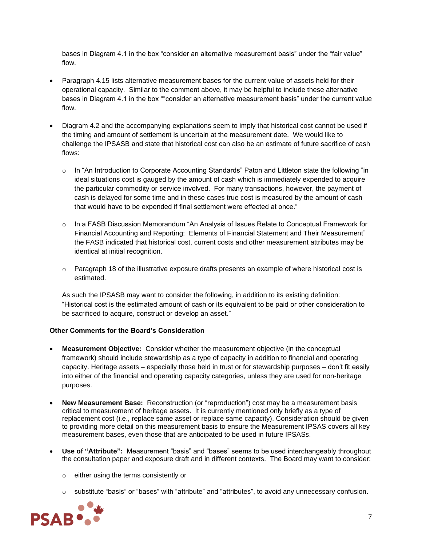bases in Diagram 4.1 in the box "consider an alternative measurement basis" under the "fair value" flow.

- Paragraph 4.15 lists alternative measurement bases for the current value of assets held for their operational capacity. Similar to the comment above, it may be helpful to include these alternative bases in Diagram 4.1 in the box ""consider an alternative measurement basis" under the current value flow.
- Diagram 4.2 and the accompanying explanations seem to imply that historical cost cannot be used if the timing and amount of settlement is uncertain at the measurement date. We would like to challenge the IPSASB and state that historical cost can also be an estimate of future sacrifice of cash flows:
	- o In "An Introduction to Corporate Accounting Standards" Paton and Littleton state the following "in ideal situations cost is gauged by the amount of cash which is immediately expended to acquire the particular commodity or service involved. For many transactions, however, the payment of cash is delayed for some time and in these cases true cost is measured by the amount of cash that would have to be expended if final settlement were effected at once."
	- o In a FASB Discussion Memorandum "An Analysis of Issues Relate to Conceptual Framework for Financial Accounting and Reporting: Elements of Financial Statement and Their Measurement" the FASB indicated that historical cost, current costs and other measurement attributes may be identical at initial recognition.
	- $\circ$  Paragraph 18 of the illustrative exposure drafts presents an example of where historical cost is estimated.

As such the IPSASB may want to consider the following, in addition to its existing definition: "Historical cost is the estimated amount of cash or its equivalent to be paid or other consideration to be sacrificed to acquire, construct or develop an asset."

# **Other Comments for the Board's Consideration**

- **Measurement Objective:** Consider whether the measurement objective (in the conceptual framework) should include stewardship as a type of capacity in addition to financial and operating capacity. Heritage assets – especially those held in trust or for stewardship purposes – don't fit easily into either of the financial and operating capacity categories, unless they are used for non-heritage purposes.
- **New Measurement Base:** Reconstruction (or "reproduction") cost may be a measurement basis critical to measurement of heritage assets. It is currently mentioned only briefly as a type of replacement cost (i.e., replace same asset or replace same capacity). Consideration should be given to providing more detail on this measurement basis to ensure the Measurement IPSAS covers all key measurement bases, even those that are anticipated to be used in future IPSASs.
- **Use of "Attribute":** Measurement "basis" and "bases" seems to be used interchangeably throughout the consultation paper and exposure draft and in different contexts. The Board may want to consider:
	- o either using the terms consistently or
	- $\circ$  substitute "basis" or "bases" with "attribute" and "attributes", to avoid any unnecessary confusion.